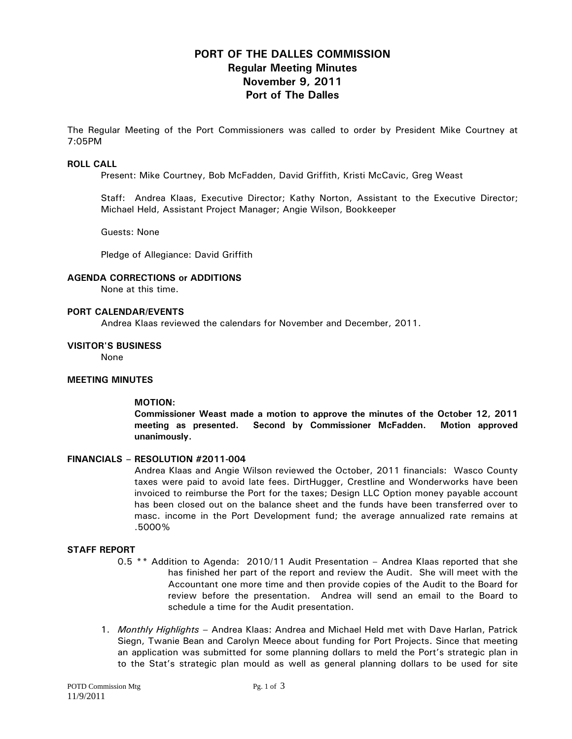# **PORT OF THE DALLES COMMISSION Regular Meeting Minutes November 9, 2011 Port of The Dalles**

The Regular Meeting of the Port Commissioners was called to order by President Mike Courtney at 7:05PM

#### **ROLL CALL**

Present: Mike Courtney, Bob McFadden, David Griffith, Kristi McCavic, Greg Weast

Staff: Andrea Klaas, Executive Director; Kathy Norton, Assistant to the Executive Director; Michael Held, Assistant Project Manager; Angie Wilson, Bookkeeper

Guests: None

Pledge of Allegiance: David Griffith

#### **AGENDA CORRECTIONS or ADDITIONS**

None at this time.

#### **PORT CALENDAR/EVENTS**

Andrea Klaas reviewed the calendars for November and December, 2011.

#### **VISITOR'S BUSINESS**

None

#### **MEETING MINUTES**

#### **MOTION:**

**Commissioner Weast made a motion to approve the minutes of the October 12, 2011 meeting as presented. Second by Commissioner McFadden. Motion approved unanimously.** 

#### **FINANCIALS – RESOLUTION #2011-004**

Andrea Klaas and Angie Wilson reviewed the October, 2011 financials: Wasco County taxes were paid to avoid late fees. DirtHugger, Crestline and Wonderworks have been invoiced to reimburse the Port for the taxes; Design LLC Option money payable account has been closed out on the balance sheet and the funds have been transferred over to masc. income in the Port Development fund; the average annualized rate remains at .5000%

#### **STAFF REPORT**

- 0.5 \*\* Addition to Agenda: 2010/11 Audit Presentation Andrea Klaas reported that she has finished her part of the report and review the Audit. She will meet with the Accountant one more time and then provide copies of the Audit to the Board for review before the presentation. Andrea will send an email to the Board to schedule a time for the Audit presentation.
- 1. *Monthly Highlights* Andrea Klaas: Andrea and Michael Held met with Dave Harlan, Patrick Siegn, Twanie Bean and Carolyn Meece about funding for Port Projects. Since that meeting an application was submitted for some planning dollars to meld the Port's strategic plan in to the Stat's strategic plan mould as well as general planning dollars to be used for site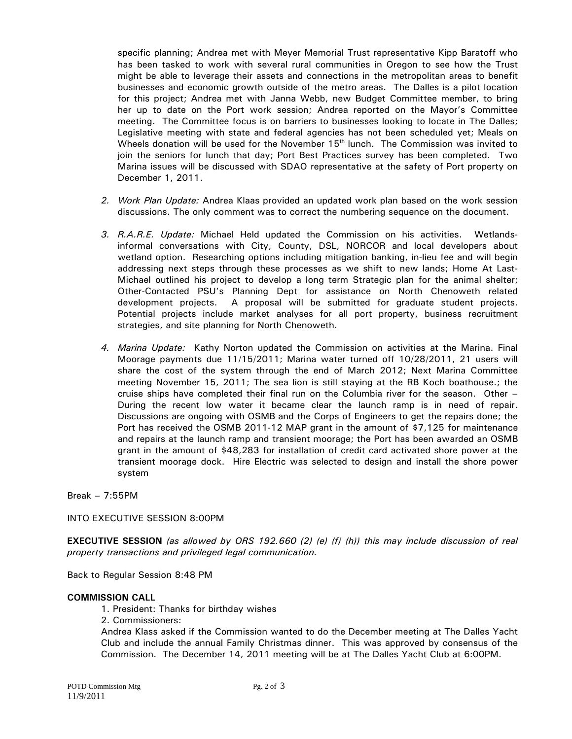specific planning; Andrea met with Meyer Memorial Trust representative Kipp Baratoff who has been tasked to work with several rural communities in Oregon to see how the Trust might be able to leverage their assets and connections in the metropolitan areas to benefit businesses and economic growth outside of the metro areas. The Dalles is a pilot location for this project; Andrea met with Janna Webb, new Budget Committee member, to bring her up to date on the Port work session; Andrea reported on the Mayor's Committee meeting. The Committee focus is on barriers to businesses looking to locate in The Dalles; Legislative meeting with state and federal agencies has not been scheduled yet; Meals on Wheels donation will be used for the November  $15<sup>th</sup>$  lunch. The Commission was invited to join the seniors for lunch that day; Port Best Practices survey has been completed. Two Marina issues will be discussed with SDAO representative at the safety of Port property on December 1, 2011.

- *2. Work Plan Update:* Andrea Klaas provided an updated work plan based on the work session discussions. The only comment was to correct the numbering sequence on the document.
- *3. R.A.R.E. Update:* Michael Held updated the Commission on his activities. Wetlandsinformal conversations with City, County, DSL, NORCOR and local developers about wetland option. Researching options including mitigation banking, in-lieu fee and will begin addressing next steps through these processes as we shift to new lands; Home At Last-Michael outlined his project to develop a long term Strategic plan for the animal shelter; Other-Contacted PSU's Planning Dept for assistance on North Chenoweth related development projects. A proposal will be submitted for graduate student projects. Potential projects include market analyses for all port property, business recruitment strategies, and site planning for North Chenoweth.
- *4. Marina Update:* Kathy Norton updated the Commission on activities at the Marina. Final Moorage payments due 11/15/2011; Marina water turned off 10/28/2011, 21 users will share the cost of the system through the end of March 2012; Next Marina Committee meeting November 15, 2011; The sea lion is still staying at the RB Koch boathouse.; the cruise ships have completed their final run on the Columbia river for the season. Other – During the recent low water it became clear the launch ramp is in need of repair. Discussions are ongoing with OSMB and the Corps of Engineers to get the repairs done; the Port has received the OSMB 2011-12 MAP grant in the amount of \$7,125 for maintenance and repairs at the launch ramp and transient moorage; the Port has been awarded an OSMB grant in the amount of \$48,283 for installation of credit card activated shore power at the transient moorage dock. Hire Electric was selected to design and install the shore power system

Break – 7:55PM

INTO EXECUTIVE SESSION 8:00PM

**EXECUTIVE SESSION** *(as allowed by ORS 192.660 (2) (e) (f) (h)) this may include discussion of real property transactions and privileged legal communication.* 

Back to Regular Session 8:48 PM

#### **COMMISSION CALL**

- 1. President: Thanks for birthday wishes
- 2. Commissioners:

Andrea Klass asked if the Commission wanted to do the December meeting at The Dalles Yacht Club and include the annual Family Christmas dinner. This was approved by consensus of the Commission. The December 14, 2011 meeting will be at The Dalles Yacht Club at 6:00PM.